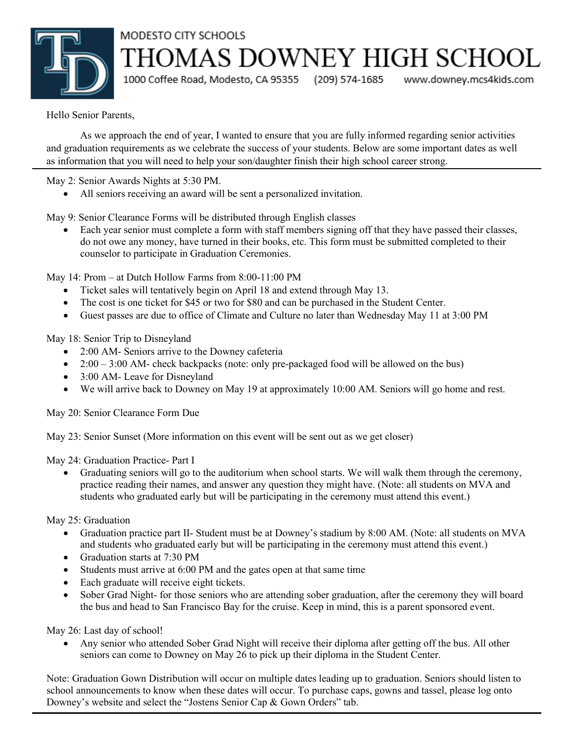

MODESTO CITY SCHOOLS THOMAS DOWNEY HIGH SCHOOL

1000 Coffee Road, Modesto, CA 95355 (209) 574-1685

www.downey.mcs4kids.com

Hello Senior Parents,

As we approach the end of year, I wanted to ensure that you are fully informed regarding senior activities and graduation requirements as we celebrate the success of your students. Below are some important dates as well as information that you will need to help your son/daughter finish their high school career strong.

May 2: Senior Awards Nights at 5:30 PM.

• All seniors receiving an award will be sent a personalized invitation.

May 9: Senior Clearance Forms will be distributed through English classes

• Each year senior must complete a form with staff members signing off that they have passed their classes, do not owe any money, have turned in their books, etc. This form must be submitted completed to their counselor to participate in Graduation Ceremonies.

May 14: Prom – at Dutch Hollow Farms from 8:00-11:00 PM

- Ticket sales will tentatively begin on April 18 and extend through May 13.
- The cost is one ticket for \$45 or two for \$80 and can be purchased in the Student Center.
- Guest passes are due to office of Climate and Culture no later than Wednesday May 11 at 3:00 PM

May 18: Senior Trip to Disneyland

- 2:00 AM- Seniors arrive to the Downey cafeteria
- $2:00-3:00$  AM- check backpacks (note: only pre-packaged food will be allowed on the bus)
- 3:00 AM- Leave for Disneyland
- We will arrive back to Downey on May 19 at approximately 10:00 AM. Seniors will go home and rest.

May 20: Senior Clearance Form Due

May 23: Senior Sunset (More information on this event will be sent out as we get closer)

May 24: Graduation Practice- Part I

• Graduating seniors will go to the auditorium when school starts. We will walk them through the ceremony, practice reading their names, and answer any question they might have. (Note: all students on MVA and students who graduated early but will be participating in the ceremony must attend this event.)

May 25: Graduation

- Graduation practice part II- Student must be at Downey's stadium by 8:00 AM. (Note: all students on MVA and students who graduated early but will be participating in the ceremony must attend this event.)
- Graduation starts at 7:30 PM
- Students must arrive at 6:00 PM and the gates open at that same time
- Each graduate will receive eight tickets.
- Sober Grad Night- for those seniors who are attending sober graduation, after the ceremony they will board the bus and head to San Francisco Bay for the cruise. Keep in mind, this is a parent sponsored event.

May 26: Last day of school!

• Any senior who attended Sober Grad Night will receive their diploma after getting off the bus. All other seniors can come to Downey on May 26 to pick up their diploma in the Student Center.

Note: Graduation Gown Distribution will occur on multiple dates leading up to graduation. Seniors should listen to school announcements to know when these dates will occur. To purchase caps, gowns and tassel, please log onto Downey's website and select the "Jostens Senior Cap & Gown Orders" tab.